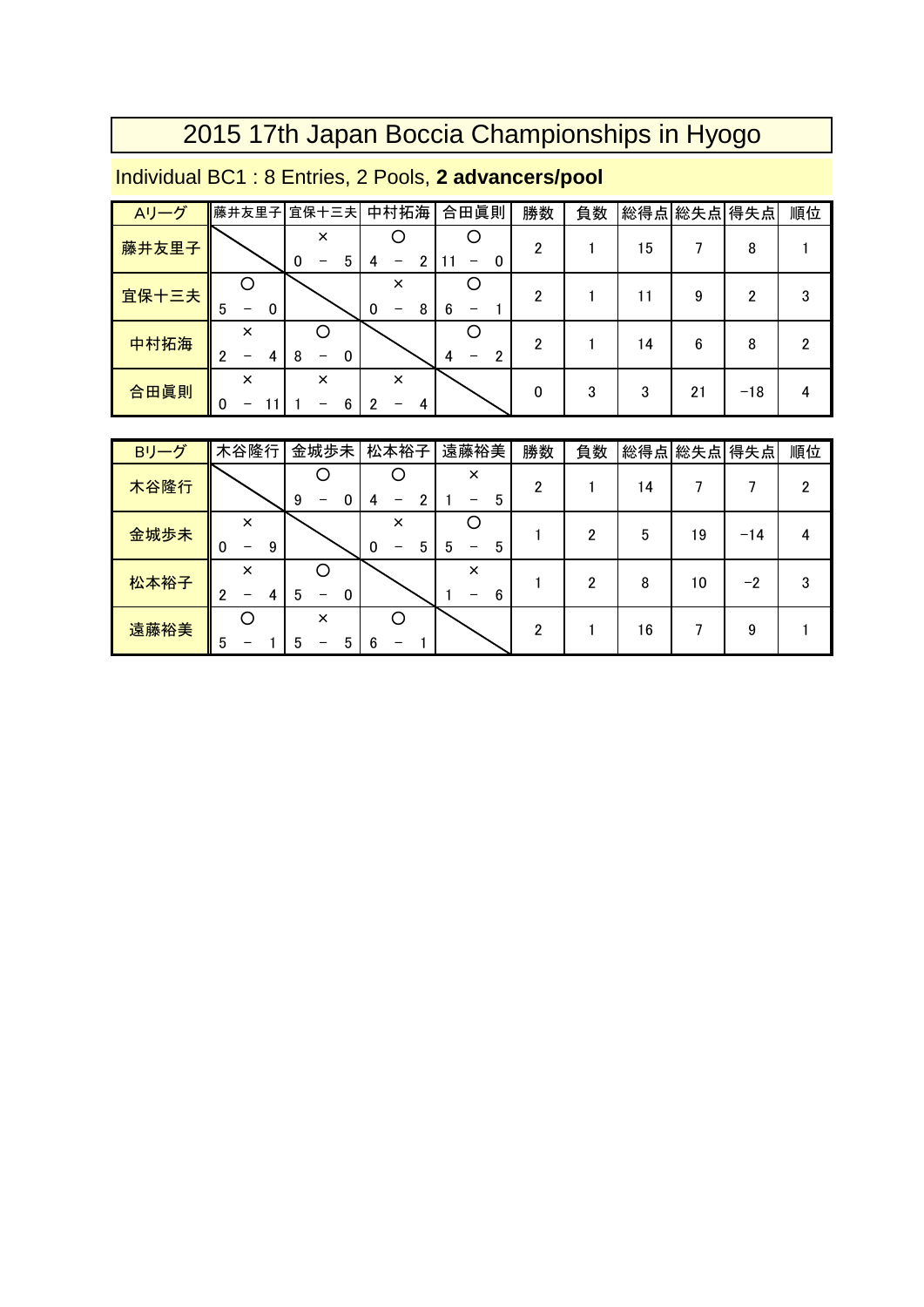#### Individual BC1 : 8 Entries, 2 Pools, **2 advancers/pool**

| Aリーグ  | 藤井友里子                   | 宜保十三夫              | 中村拓海          | 合田眞則   | 勝数 | 負数 |    | 総得点 総失点 得失点 |       | 順位 |
|-------|-------------------------|--------------------|---------------|--------|----|----|----|-------------|-------|----|
| 藤井友里子 |                         | $\times$<br>5<br>0 | 2             | 0      | 2  |    | 15 |             | 8     |    |
| 宜保十三夫 | 5<br>0<br>–             |                    | ×<br>8<br>0   | 6      | 2  |    |    | 9           | 2     | 3  |
| 中村拓海  | $\times$<br>2<br>4<br>- | 0<br>8             |               | າ<br>4 | 2  |    | 14 | 6           | 8     | 2  |
| 合田眞則  | ×<br>0<br>-             | $\times$<br>6      | $\times$<br>4 |        | 0  | 3  | 3  | 21          | $-18$ | 4  |

| Bリーグ | 木谷隆行                    | 金城歩未          | 松本裕子               | 遠藤裕美          | 勝数 | 負数 |    | 総得点 総失点 得失点 |         | 順位 |
|------|-------------------------|---------------|--------------------|---------------|----|----|----|-------------|---------|----|
| 木谷隆行 |                         | 9<br>0        | 2                  | $\times$<br>5 | 2  |    | 14 |             |         | 2  |
| 金城歩未 | $\times$<br>9<br>0<br>- |               | $\times$<br>5<br>0 | 5<br>5<br>-   |    | າ  | 5  | 19          | $-14$   | 4  |
| 松本裕子 | ×<br>2<br>4<br>-        | 0<br>b        |                    | $\times$<br>6 |    |    | 8  | 10          | $^{-2}$ | 3  |
| 遠藤裕美 | 5                       | $\times$<br>5 | 6                  |               | っ  |    | 16 |             | 9       |    |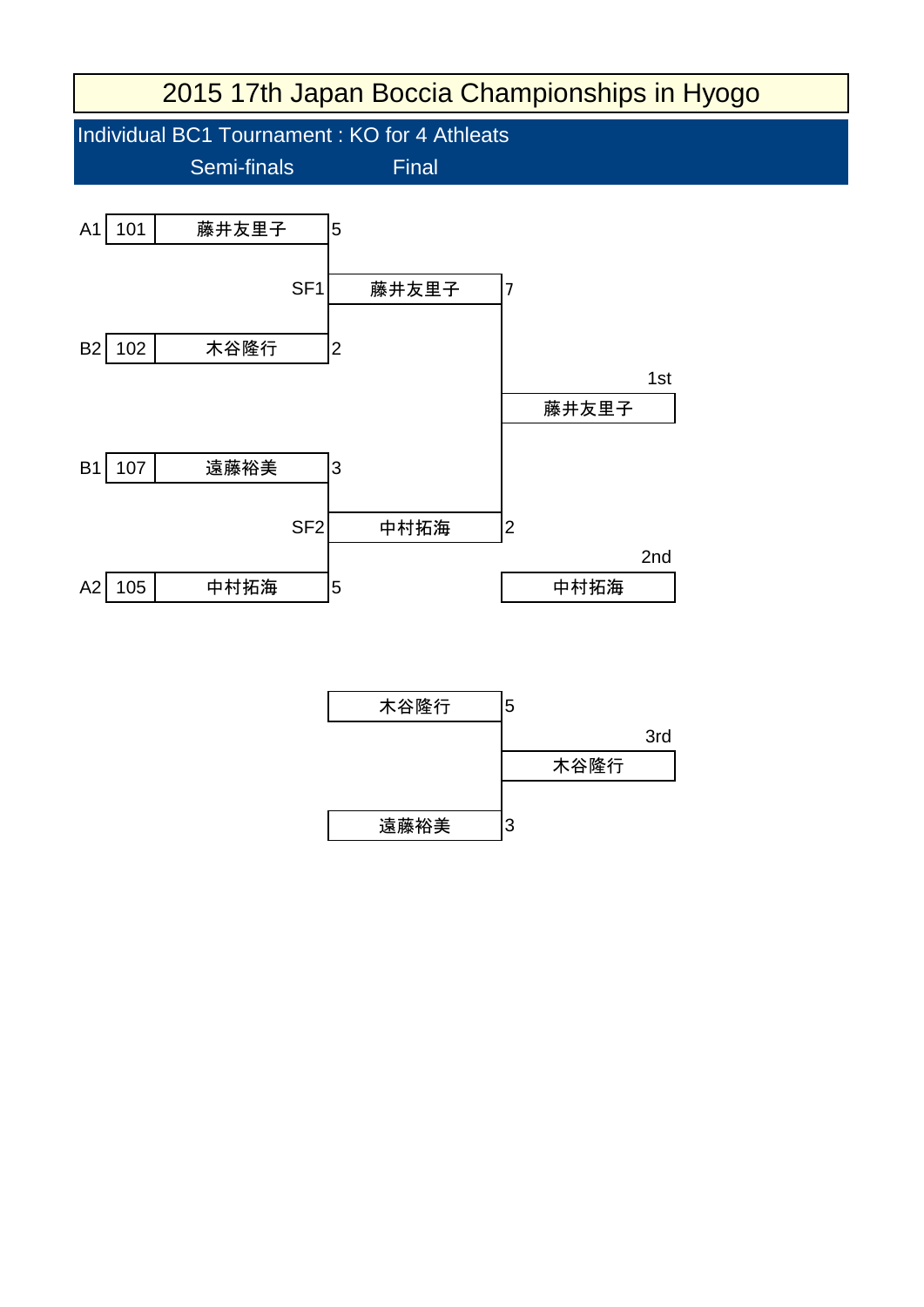

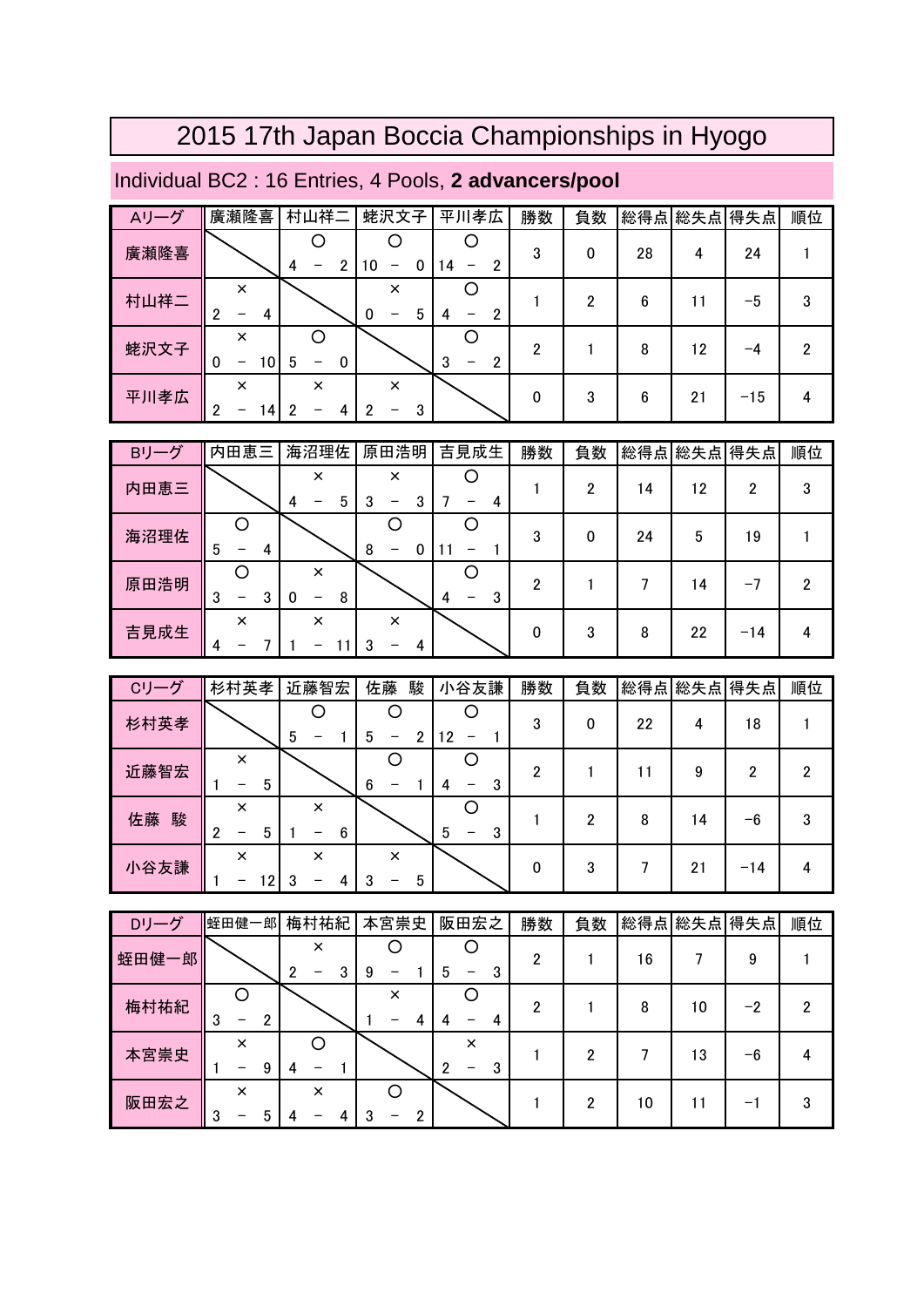#### Individual BC2 : 16 Entries, 4 Pools, **2 advancers/pool**

| Aリーグ | 廣瀬隆喜                                                   | 村山祥二        | 蛯沢文子               | 平川孝広    | 勝数 | 負数 | 総得点 総失点 |    | 得失点   | 順位 |
|------|--------------------------------------------------------|-------------|--------------------|---------|----|----|---------|----|-------|----|
| 廣瀬隆喜 |                                                        | っ<br>4      | 10<br>0<br>-       | ≘<br>14 | 3  | 0  | 28      | 4  | 24    |    |
| 村山祥二 | $\times$<br>2<br>4                                     |             | $\times$<br>5<br>0 | ∩<br>4  |    | 2  | 6       | 11 | -5    | 3  |
| 蛯沢文子 | $\times$<br>$\Omega$<br>10<br>$\overline{\phantom{0}}$ | 5<br>0<br>— |                    | 3       | っ  |    | 8       | 12 | -4    | 2  |
| 平川孝広 | $\times$<br>2<br>14<br>-                               | $\times$    | $\times$<br>3      |         | 0  | 3  | 6       | 21 | $-15$ | 4  |

| Bリーグ | 内田恵三        | 海沼理佐                     | 原田浩明                    | 吉見成生   | 勝数 | 負数 |    | 総得点 総失点 | 得失点   | 順位 |
|------|-------------|--------------------------|-------------------------|--------|----|----|----|---------|-------|----|
| 内田恵三 |             | $\times$<br>5<br>4       | $\times$<br>3<br>3<br>- | 4      |    | 2  | 14 | 12      | 2     | 3  |
| 海沼理佐 | 5<br>4      |                          | 8<br>0<br>-             |        | 3  | 0  | 24 | 5       | 19    |    |
| 原田浩明 | 3<br>3<br>- | $\times$<br>8<br>-0<br>- |                         | 3<br>4 | ŋ  |    |    | 14      | $-1$  | 2  |
| 吉見成生 | ×<br>4      | $\times$                 | $\times$<br>3<br>4      |        | 0  | 3  | 8  | 22      | $-14$ | 4  |

| Cリーグ    | 杉村英孝                    | 近藤智宏               | 佐藤<br>駿       | 小谷友謙    | 勝数 | 負数 | 総得点 総失点 |    | 得失点   | 順位 |
|---------|-------------------------|--------------------|---------------|---------|----|----|---------|----|-------|----|
| 杉村英孝    |                         | 5<br>-             | 5<br>2<br>-   | 12<br>- | 3  | 0  | 22      | 4  | 18    |    |
| 近藤智宏    | $\times$<br>5           |                    | 6             | 3<br>4  | 2  |    |         | 9  | っ     | 2  |
| 佐藤<br>駿 | $\times$<br>5<br>っ<br>- | $\times$<br>6      |               | 5<br>3  |    | 2  | 8       | 14 | -6    | 3  |
| 小谷友謙    | $\times$<br>12<br>-     | $\times$<br>ി<br>4 | $\times$<br>5 |         | 0  | 3  |         | 21 | $-14$ |    |

| Dリーグ  | 蛭田健一郎         | 梅村祐紀               | 本宮崇史     | 阪田宏之        | 勝数 | 負数 |    | 総得点 総失点 | 得失点 | 順位 |
|-------|---------------|--------------------|----------|-------------|----|----|----|---------|-----|----|
| 蛭田健一郎 |               | $\times$<br>2<br>3 | 9        | 3<br>5      | っ  |    | 16 |         | 9   |    |
| 梅村祐紀  | 3<br>2        |                    | $\times$ | 4           | າ  |    | 8  | 10      | -2  | 2  |
| 本宮崇史  | $\times$<br>9 |                    |          | ×<br>っ<br>3 |    | າ  |    | 13      | -6  |    |
| 阪田宏之  | $\times$<br>3 | $\times$           | ŋ        |             |    | 2  | 10 |         | $-$ | 3  |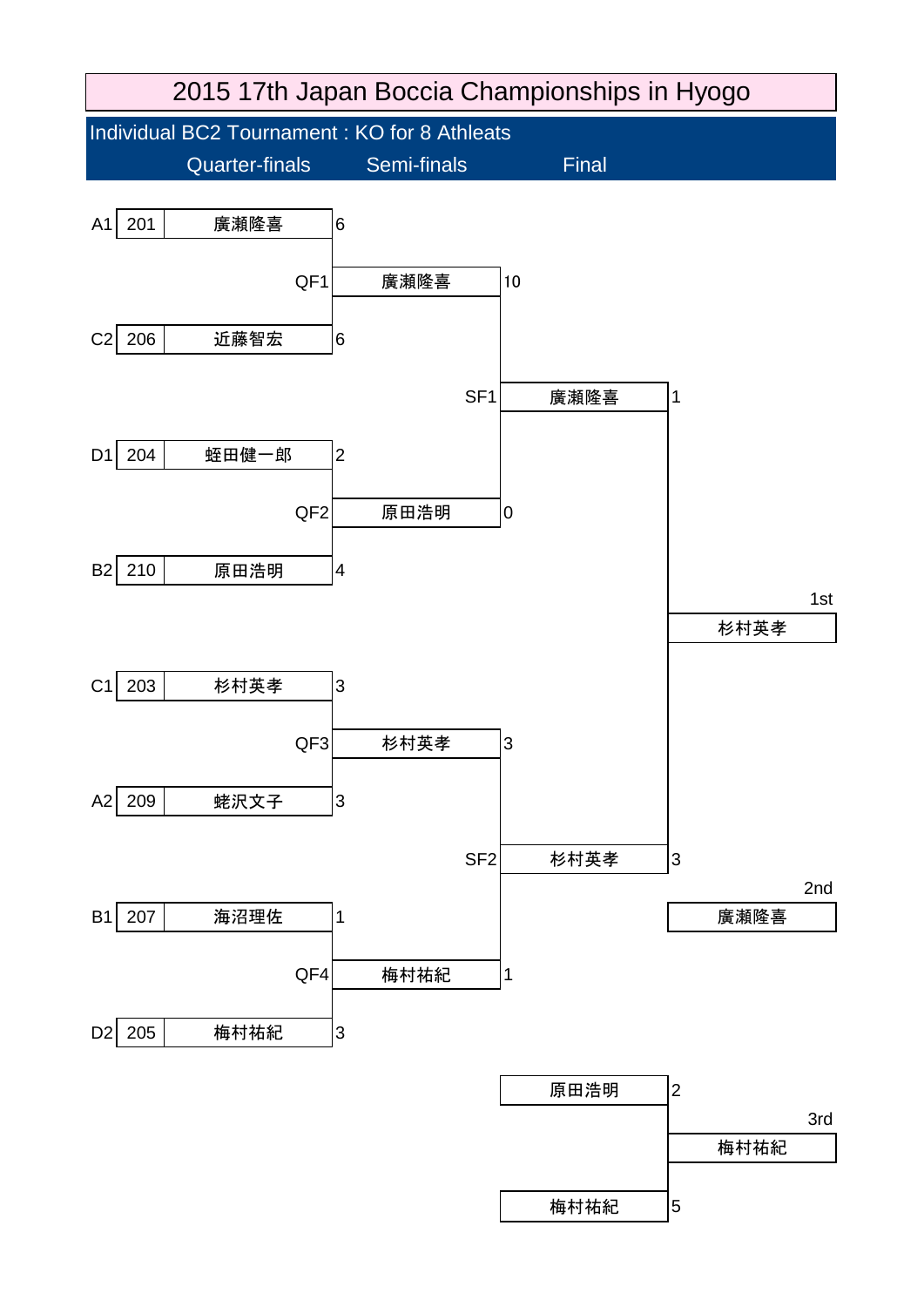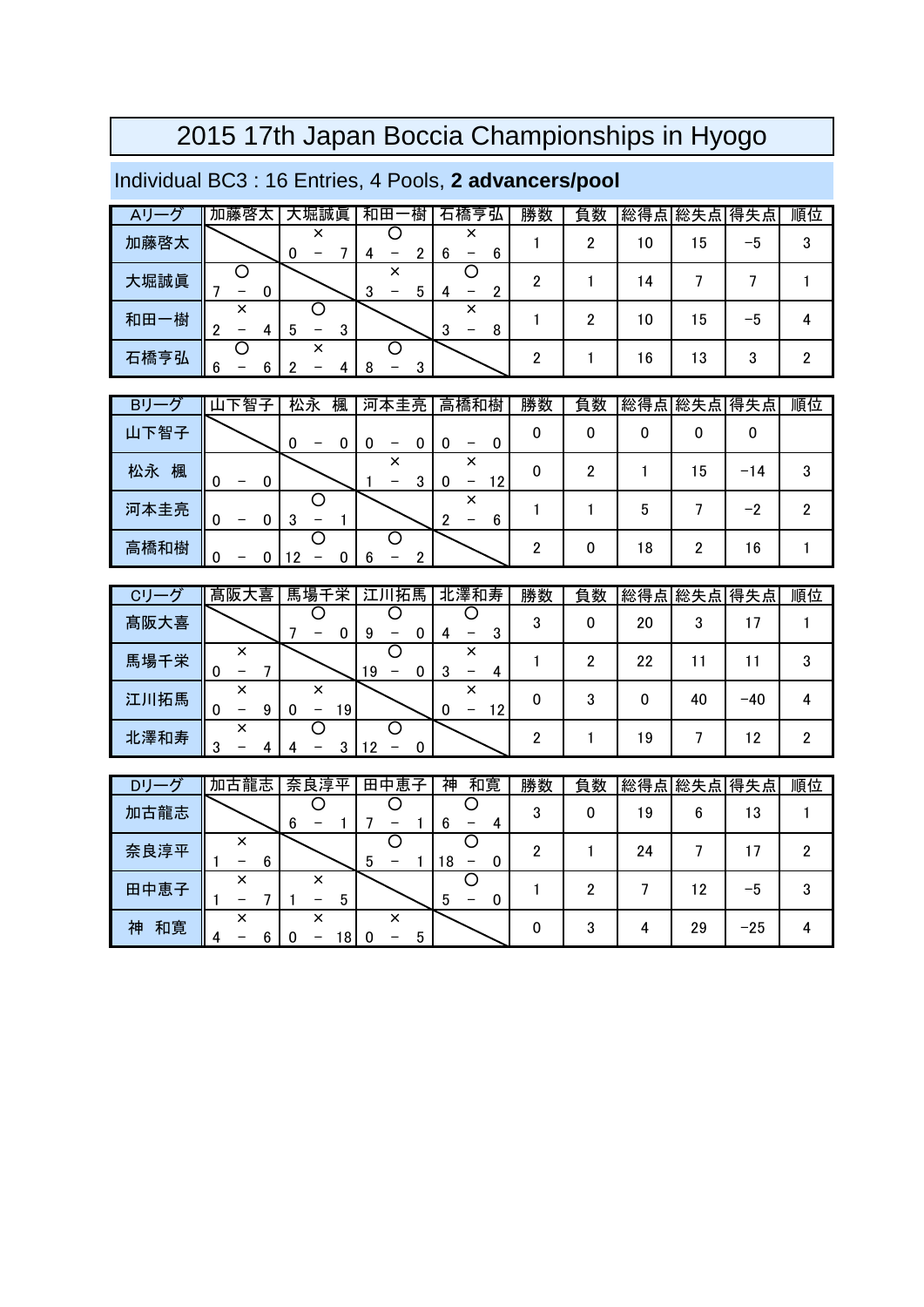### Individual BC3 : 16 Entries, 4 Pools, **2 advancers/pool**

|      | 加藤啓太   | 大堀誠眞               | 樹<br>和田     | 石橋亨弘             | 勝数 | 負数 | 総得点 総失点 |    | 得失点 | 順位 |
|------|--------|--------------------|-------------|------------------|----|----|---------|----|-----|----|
| 加藤啓太 |        | ×<br>0             |             | x<br>6<br>6      |    |    | 10      | 15 | –5  |    |
| 大堀誠眞 |        |                    | ×<br>3<br>n |                  | ŋ  |    | 14      |    |     |    |
| 和田一樹 | ×<br>∩ | າ<br>h<br>J<br>пJ. |             | ×<br>0<br>8<br>ω |    |    | 10      | 15 | –5  |    |
| 石橋亨弘 | 6      |                    | ົ           |                  | ົ  |    | 16      | 13 |     |    |

| В        | 智<br>구<br>᠊ᠷ                       | 松永<br>楓 | 河本圭亮   | 高橋和樹         | 勝数 | 負数 |    | 総得点 総失点 | 得失点 | 順位 |
|----------|------------------------------------|---------|--------|--------------|----|----|----|---------|-----|----|
| 下智子<br>ш |                                    |         | -      | 0<br>-       | 0  |    |    |         | 0   |    |
| 松永<br>楓  | 0<br>0<br>$\overline{\phantom{0}}$ |         | ×<br>3 | ×<br>12<br>- | 0  | ŋ  |    | 15      | -14 | 3  |
| 河本圭亮     | 0<br>-                             | -       |        | ×<br>ŋ<br>6  |    |    | b  |         | -2  | ົ  |
| 高橋和樹     | 0                                  |         | n      |              |    | O  | 18 |         | 16  |    |

| C١   | 髙阪大喜        | 馬場千栄         | 江川拓馬 | 北澤和寿               | 勝数     | 負数 | 総得 | 点 総失点 | 得失点   | 順位 |
|------|-------------|--------------|------|--------------------|--------|----|----|-------|-------|----|
| 髙阪大喜 |             |              | o    |                    | ◠<br>J |    | 20 | 3     |       |    |
| 馬場千栄 | ×<br>0      |              | 19   | ×<br>J             |        |    | 22 |       |       |    |
| 江川拓馬 | ×<br>9<br>- | ×<br>19<br>- |      | ×<br>12<br>-0<br>- |        |    |    | 40    | $-40$ |    |
| 北澤和寿 | ×<br>≘<br>د |              | 19   |                    |        |    | 19 |       | 12    |    |

| ים       | 加古龍志        | 奈良淳<br>亚 | 恵<br>田<br>子<br>中 | 神<br>和寛 | 勝数     | 負数 | 総得<br>点 | 総失点 | 得失点   | 順位 |
|----------|-------------|----------|------------------|---------|--------|----|---------|-----|-------|----|
| 古龍志<br>加 |             | 6        |                  | 6<br>д  | ∩<br>υ |    | 19      | 6   | 13    |    |
| 奈良淳平     | ×<br>6<br>– |          | 5                | 18      | n      |    | 24      |     |       |    |
| 中恵子<br>田 | ×<br>-      | ×<br>ა   |                  | 5<br>-  |        |    |         | 12  | -5    |    |
| 和寛<br>袖  | ×<br>4      | ×<br>8   | ×<br>5<br>C<br>- |         |        | 3  |         | 29  | $-25$ |    |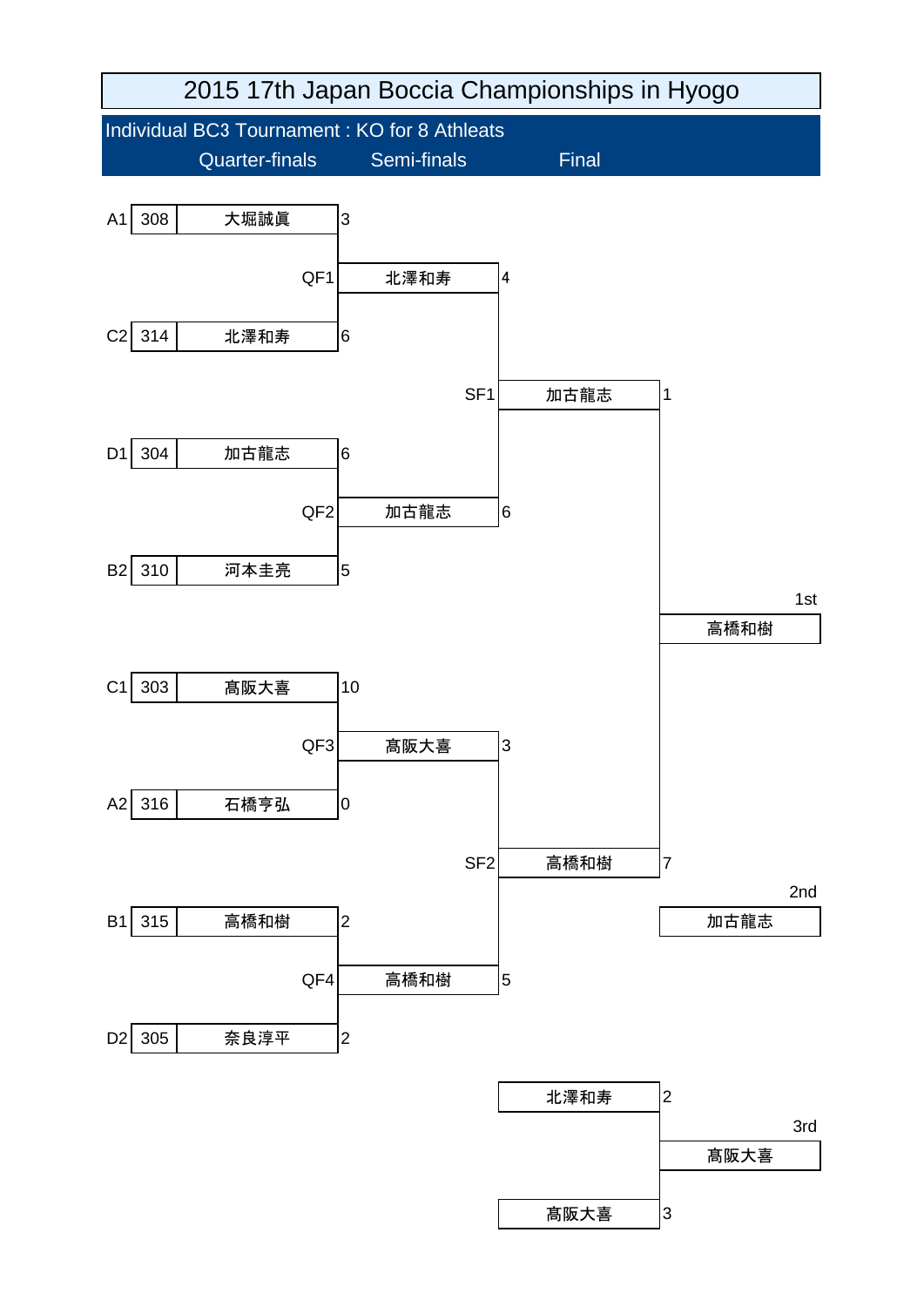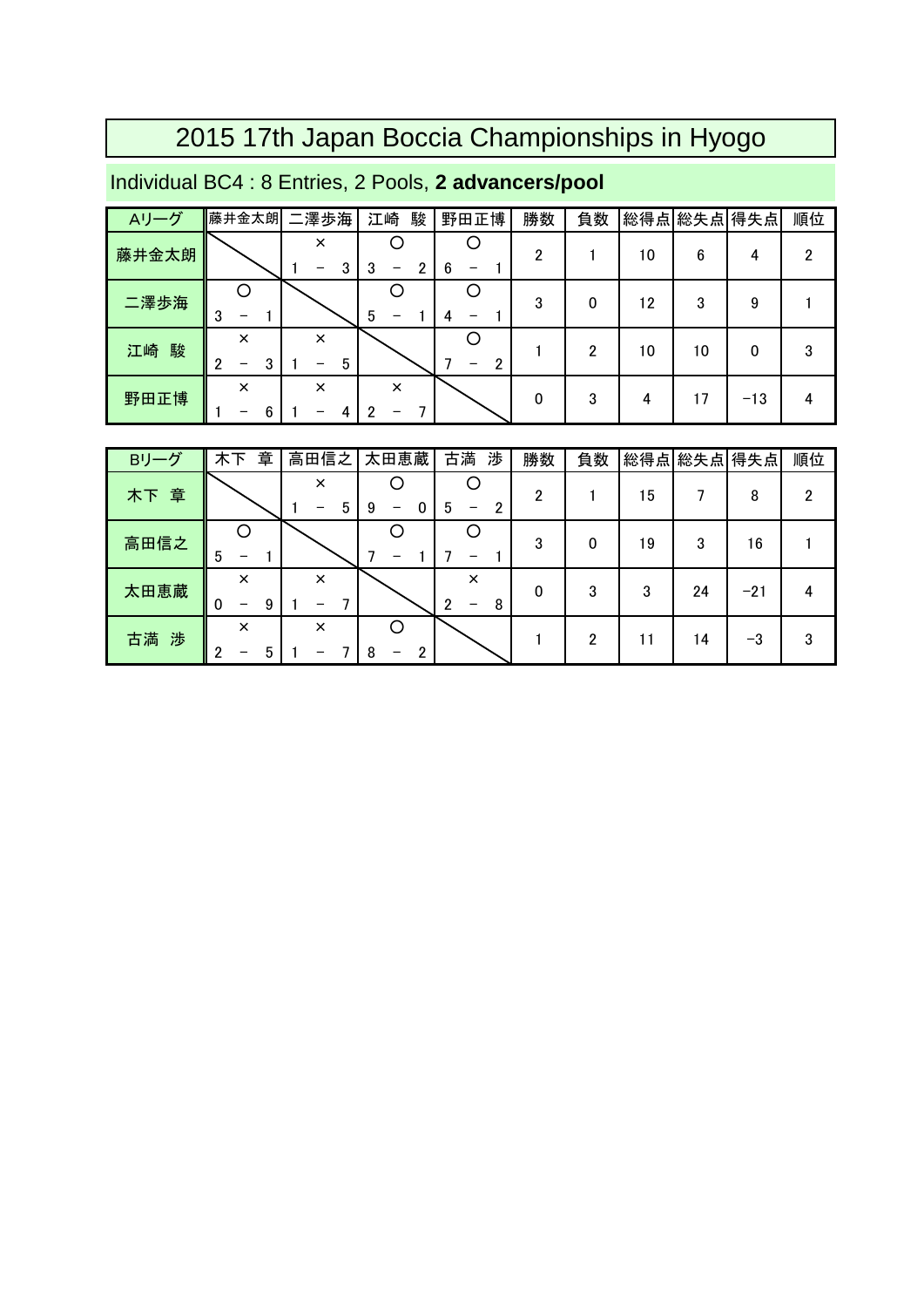#### Individual BC4 : 8 Entries, 2 Pools, **2 advancers/pool**

| Aリーグ    | 藤井金太朗              | 二澤歩海          | 駿<br>江崎  | 野田正博 | 勝数           | 負数 |    | 総得点 総失点 得失点 |       | 順位 |
|---------|--------------------|---------------|----------|------|--------------|----|----|-------------|-------|----|
| 藤井金太朗   |                    | ×<br>3        | 2<br>3   | 6    | 2            |    | 10 | 6           | 4     | っ  |
| 二澤歩海    | ∩<br>3<br>–        |               | 5        |      | 3            | 0  | 12 | 3           | 9     |    |
| 駿<br>江崎 | ×<br>3<br>∩<br>-   | $\times$<br>5 |          | 2    |              | っ  | 10 | 10          | 0     | 3  |
| 野田正博    | $\times$<br>6<br>- | $\times$      | $\times$ |      | $\mathbf{0}$ | 3  | 4  | 17          | $-13$ |    |

| Bリーグ | 章<br>木下                                        | 高田信之          | 太田恵蔵   | 古満<br>渉            | 勝数 | 負数 | 総得点 | 総失点 | 得失点   | 順位 |
|------|------------------------------------------------|---------------|--------|--------------------|----|----|-----|-----|-------|----|
| 木下章  |                                                | $\times$<br>5 | 0<br>9 | 5<br>2<br>-        | 2  |    | 5   |     | 8     | 2  |
| 高田信之 | 5                                              |               |        |                    | 3  | 0  | 19  | 3   | 16    |    |
| 太田恵蔵 | $\times$<br>9<br>0<br>$\overline{\phantom{0}}$ | $\times$      |        | $\times$<br>8<br>c | 0  | 3  | 3   | 24  | $-21$ |    |
| 古満 渉 | $\times$<br>n<br>5                             | $\times$      | 2<br>8 |                    |    | 2  | 11  | 14  | -3    | 3  |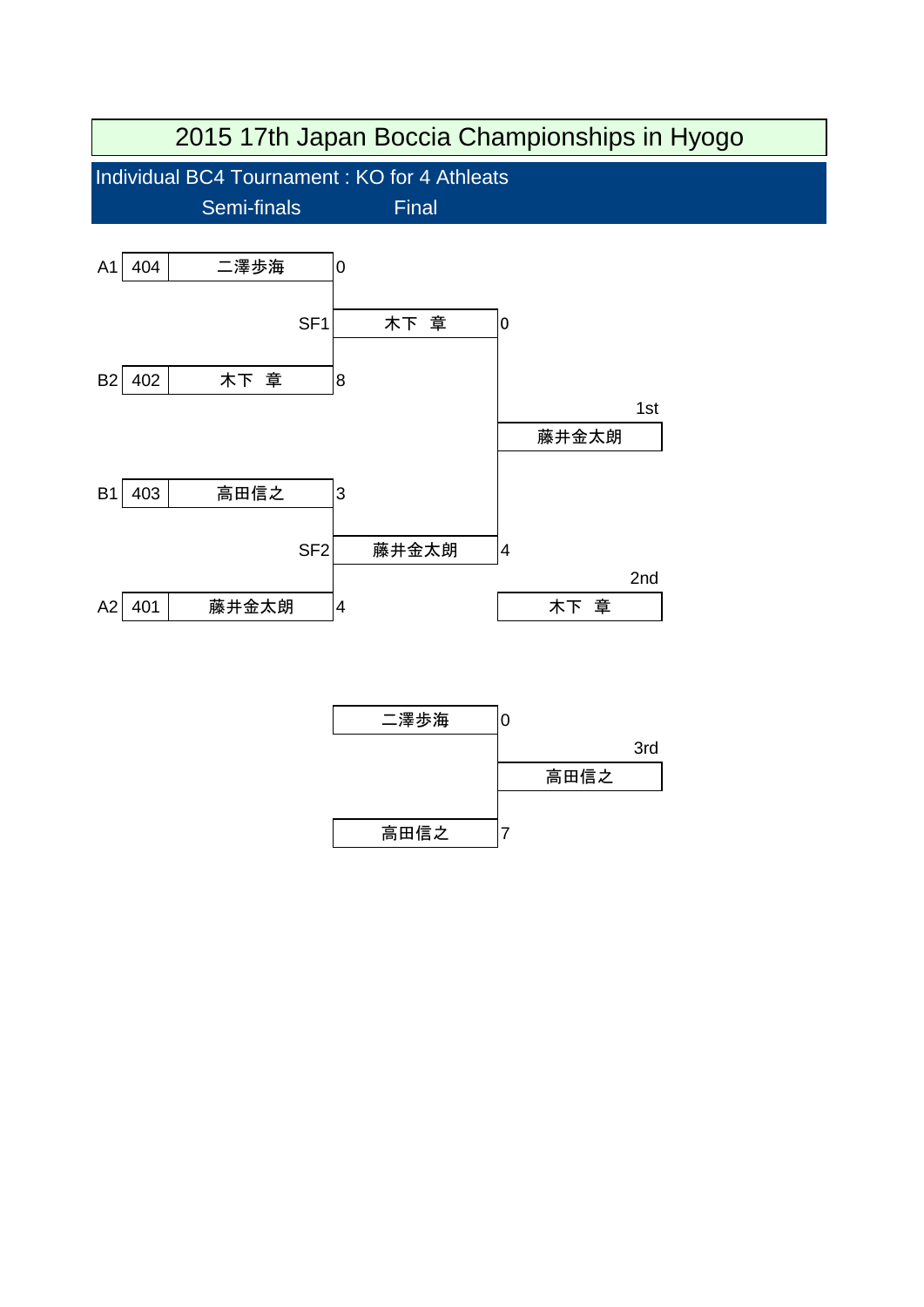

高田信之 7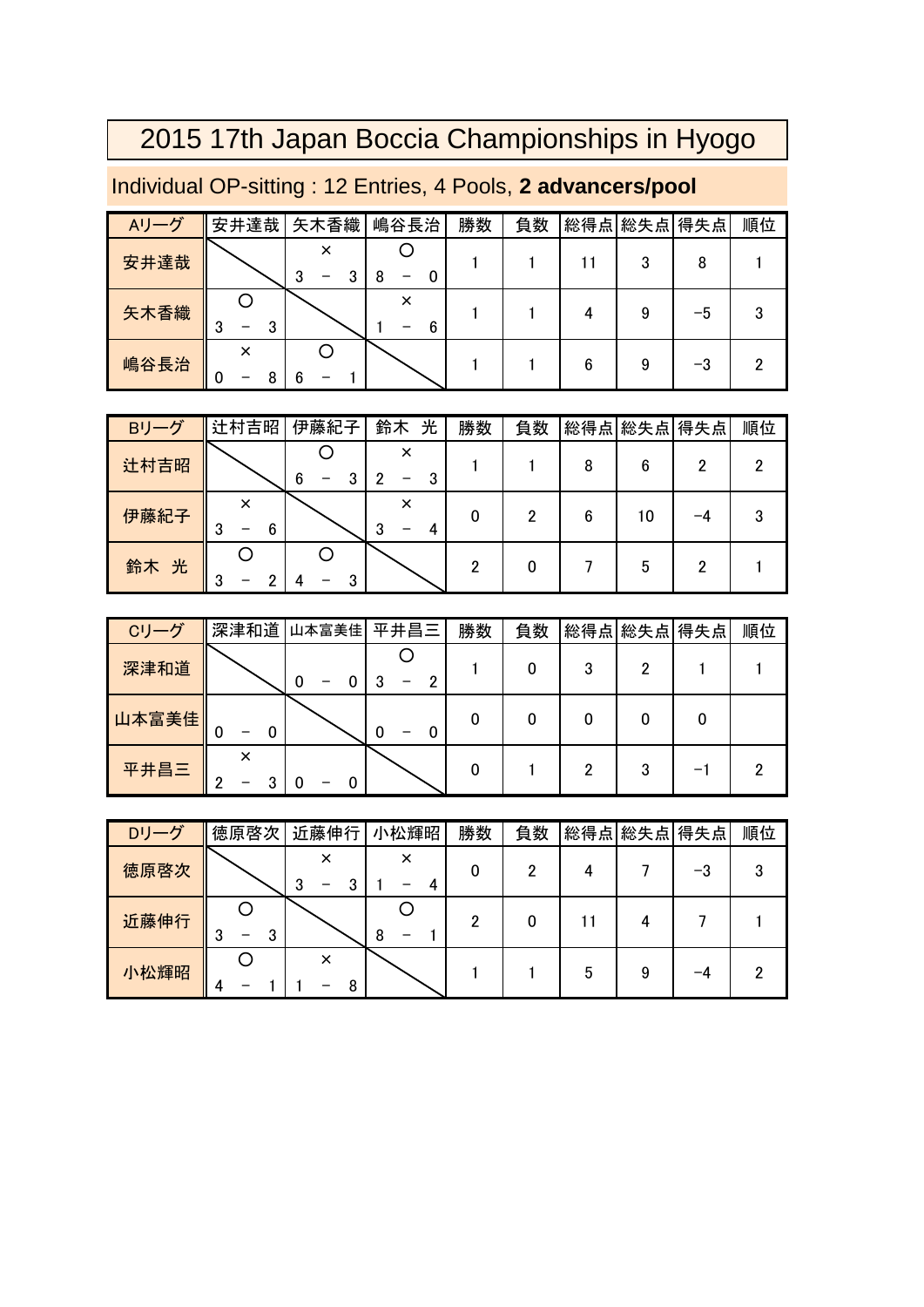| Aリーグ | 安井達哉   | 矢木香織   | 嶋谷長治   | 勝数 | 負数 |   | 総得点 総失点 得失点 |    | 順位 |
|------|--------|--------|--------|----|----|---|-------------|----|----|
| 安井達哉 |        | ×<br>3 | 8      |    |    |   | 3           | 8  |    |
| 矢木香織 | 3<br>3 |        | ×<br>6 |    |    |   |             | -5 | 3  |
| 嶋谷長治 | ∩      |        |        |    |    | 6 | 9           | -3 |    |

### Individual OP-sitting : 12 Entries, 4 Pools, **2 advancers/pool**

| Bリーグ | ▌辻村吉昭       | 伊藤紀子 | 鈴木<br>光 | 勝数 | 負数 |   |    | 総得点 総失点 得失点 | 順位 |
|------|-------------|------|---------|----|----|---|----|-------------|----|
| 辻村吉昭 |             |      | ×       |    |    |   | 6  |             |    |
| 伊藤紀子 | ×<br>3<br>6 |      | 3       | 0  |    | 6 | 10 |             |    |
| 鈴木 光 |             |      |         |    |    |   | 5  |             |    |

| Cリーグ  | 深津和道   | 山本富美佳 | 平井昌三   | 勝数 | 負数 |   | 総得点 総失点 得失点 | 順位 |
|-------|--------|-------|--------|----|----|---|-------------|----|
| 深津和道  |        | O     |        |    |    | ∩ |             |    |
| 山本富美佳 | 0<br>0 |       | 0<br>0 |    |    |   |             |    |
| 平井昌三  | ∩      |       |        |    |    | 2 |             |    |

| Dリーグ | 徳原啓次   | 近藤伸行   | 小松輝昭   | 勝数 | 負数 |   | 総得点 総失点 得失点 |    | 順位 |
|------|--------|--------|--------|----|----|---|-------------|----|----|
| 徳原啓次 |        | ×<br>υ | ×<br>4 | 0  |    |   |             | -3 | 3  |
| 近藤伸行 | 3<br>3 |        | 8      | 2  |    |   |             |    |    |
| 小松輝昭 | 4      | ×<br>8 |        |    |    | 5 |             | -4 | ∩  |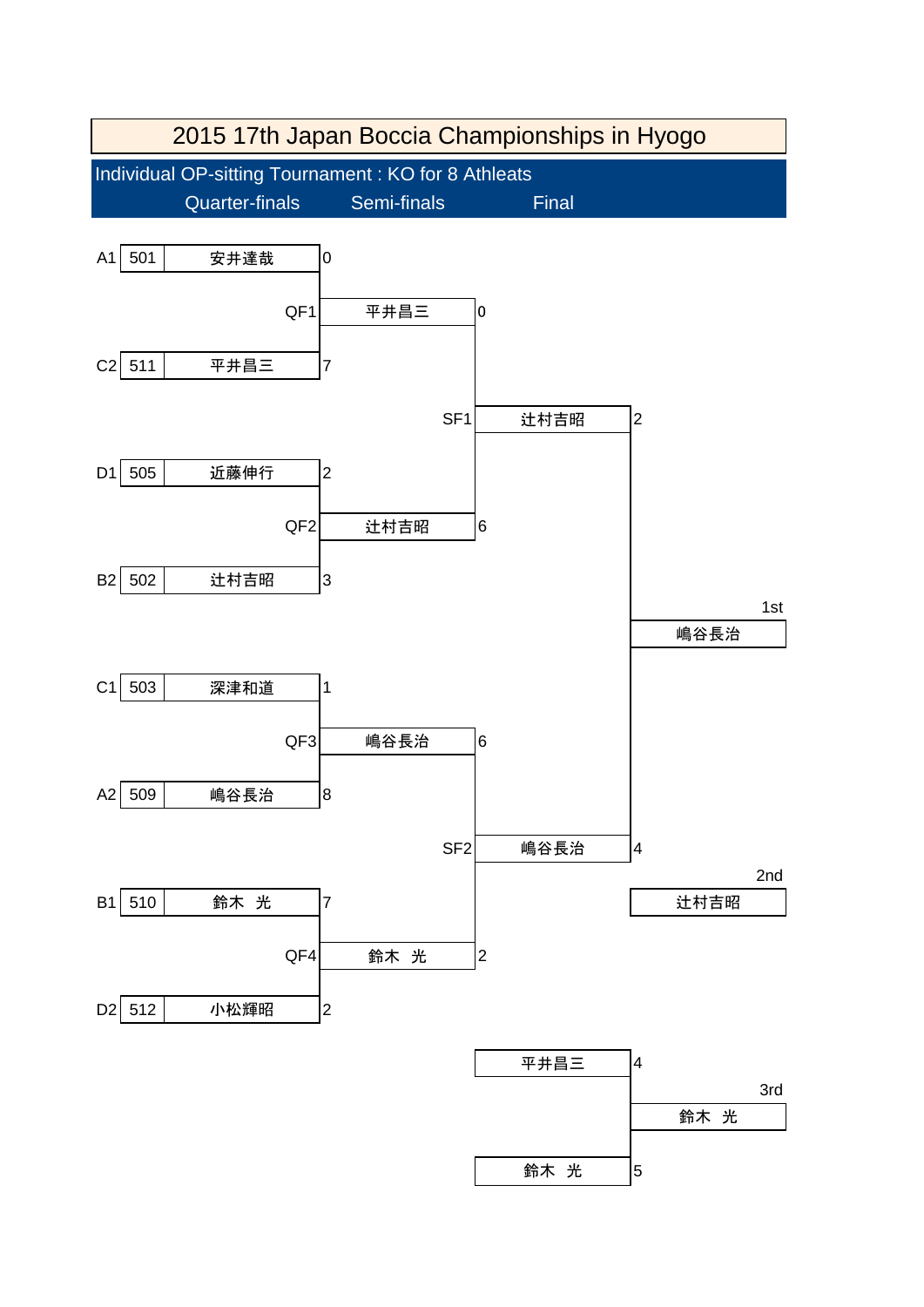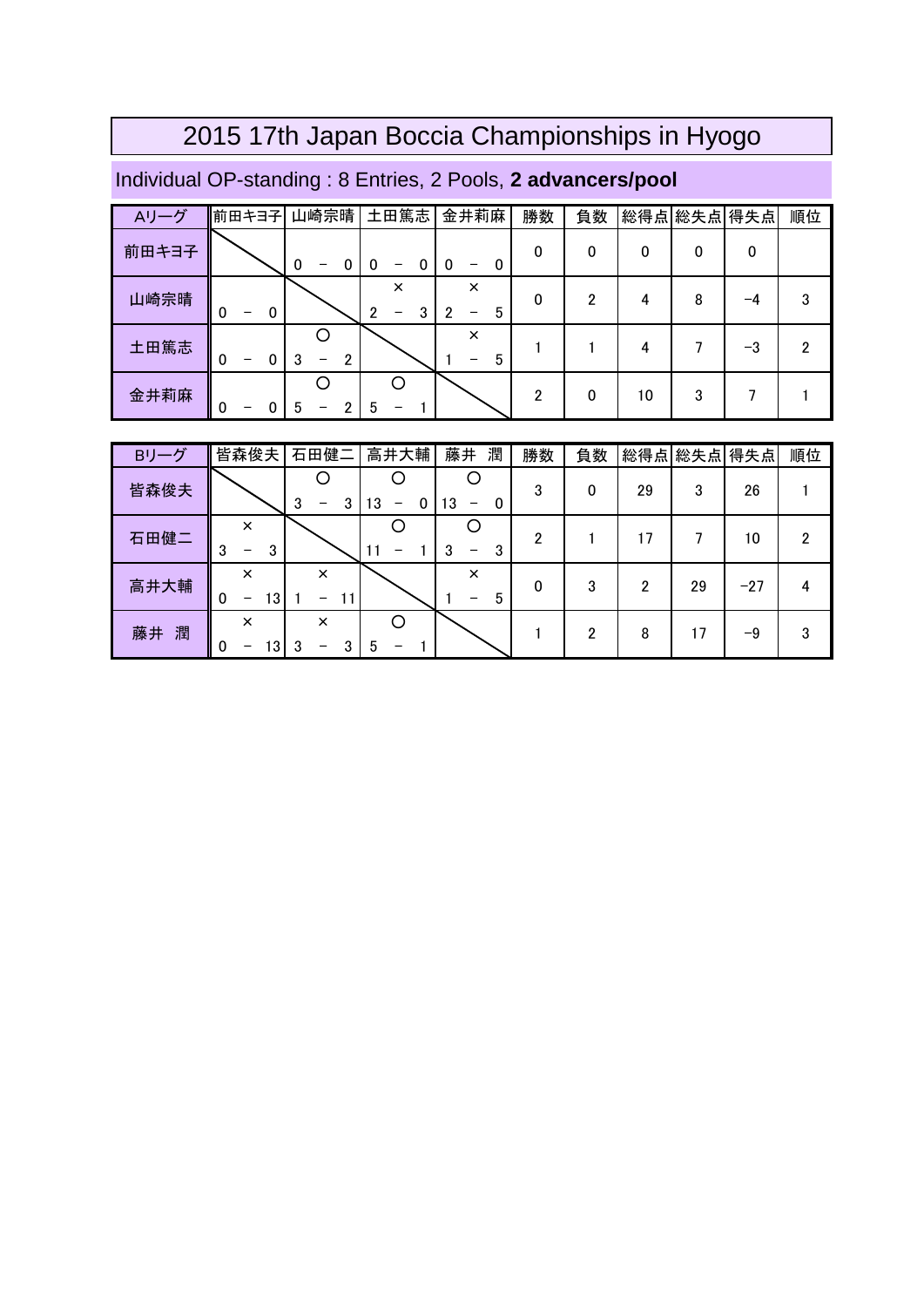### Individual OP-standing : 8 Entries, 2 Pools, **2 advancers/pool**

| Aリーグ  | 前田キヨ子                  | 山崎宗晴                | 土田篤志                      | 金井莉麻               | 勝数 | 負数 | 総得点 | 総失点 得失点 |    | 順位 |
|-------|------------------------|---------------------|---------------------------|--------------------|----|----|-----|---------|----|----|
| 前田キヨ子 |                        | 0<br>0<br>-         | 0<br>0<br>$\qquad \qquad$ | 0<br>0<br>-        | 0  | 0  | 0   |         | 0  |    |
| 山崎宗晴  | 0<br>$\mathbf 0$<br>-  |                     | $\times$<br>າ<br>3        | $\times$<br>5<br>- | 0  | ŋ  | 4   | 8       | -4 | 3  |
| 土田篤志  | 0<br>$\mathbf{0}$<br>- | $\overline{2}$<br>3 |                           | $\times$<br>5      |    |    | 4   |         | -3 | 2  |
| 金井莉麻  | 0                      | 5                   | 5                         |                    | っ  | 0  | 10  | 3       |    |    |

| Bリーグ    | 皆森俊夫                            | 石田健二               | 高井大輔    | 藤井<br>潤       | 勝数 | 負数 | 総得点 | 総失点 得失点 |       | 順位 |
|---------|---------------------------------|--------------------|---------|---------------|----|----|-----|---------|-------|----|
| 皆森俊夫    |                                 | 3<br>3             | 13<br>0 | 13<br>0       | 3  | 0  | 29  | 3       | 26    |    |
| 石田健二    | $\times$<br>3<br>3<br>–         |                    |         | 3<br>3<br>-   | 2  |    | 17  |         | 10    | 2  |
| 高井大輔    | $\times$<br>13<br>0<br>-        | $\times$<br>11     |         | $\times$<br>5 | 0  | 3  | າ   | 29      | $-27$ |    |
| 藤井<br>潤 | $\times$<br>$\Omega$<br>ι3<br>- | $\times$<br>3<br>3 | 5       |               |    | っ  | 8   | ۱7      | -9    | 3  |